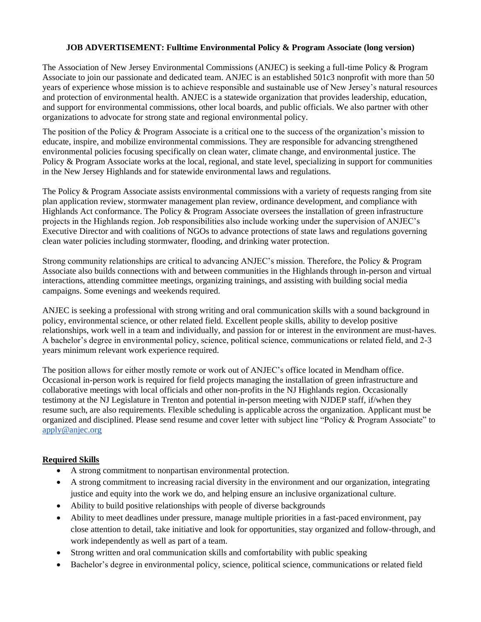## **JOB ADVERTISEMENT: Fulltime Environmental Policy & Program Associate (long version)**

The Association of New Jersey Environmental Commissions (ANJEC) is seeking a full-time Policy & Program Associate to join our passionate and dedicated team. ANJEC is an established 501c3 nonprofit with more than 50 years of experience whose mission is to achieve responsible and sustainable use of New Jersey's natural resources and protection of environmental health. ANJEC is a statewide organization that provides leadership, education, and support for environmental commissions, other local boards, and public officials. We also partner with other organizations to advocate for strong state and regional environmental policy.

The position of the Policy & Program Associate is a critical one to the success of the organization's mission to educate, inspire, and mobilize environmental commissions. They are responsible for advancing strengthened environmental policies focusing specifically on clean water, climate change, and environmental justice. The Policy & Program Associate works at the local, regional, and state level, specializing in support for communities in the New Jersey Highlands and for statewide environmental laws and regulations.

The Policy & Program Associate assists environmental commissions with a variety of requests ranging from site plan application review, stormwater management plan review, ordinance development, and compliance with Highlands Act conformance. The Policy & Program Associate oversees the installation of green infrastructure projects in the Highlands region. Job responsibilities also include working under the supervision of ANJEC's Executive Director and with coalitions of NGOs to advance protections of state laws and regulations governing clean water policies including stormwater, flooding, and drinking water protection.

Strong community relationships are critical to advancing ANJEC's mission. Therefore, the Policy & Program Associate also builds connections with and between communities in the Highlands through in-person and virtual interactions, attending committee meetings, organizing trainings, and assisting with building social media campaigns. Some evenings and weekends required.

ANJEC is seeking a professional with strong writing and oral communication skills with a sound background in policy, environmental science, or other related field. Excellent people skills, ability to develop positive relationships, work well in a team and individually, and passion for or interest in the environment are must-haves. A bachelor's degree in environmental policy, science, political science, communications or related field, and 2-3 years minimum relevant work experience required.

The position allows for either mostly remote or work out of ANJEC's office located in Mendham office. Occasional in-person work is required for field projects managing the installation of green infrastructure and collaborative meetings with local officials and other non-profits in the NJ Highlands region. Occasionally testimony at the NJ Legislature in Trenton and potential in-person meeting with NJDEP staff, if/when they resume such, are also requirements. Flexible scheduling is applicable across the organization. Applicant must be organized and disciplined. Please send resume and cover letter with subject line "Policy & Program Associate" to [apply@anjec.org](mailto:apply@anjec.org)

# **Required Skills**

- A strong commitment to nonpartisan environmental protection.
- A strong commitment to increasing racial diversity in the environment and our organization, integrating justice and equity into the work we do, and helping ensure an inclusive organizational culture.
- Ability to build positive relationships with people of diverse backgrounds
- Ability to meet deadlines under pressure, manage multiple priorities in a fast-paced environment, pay close attention to detail, take initiative and look for opportunities, stay organized and follow-through, and work independently as well as part of a team.
- Strong written and oral communication skills and comfortability with public speaking
- Bachelor's degree in environmental policy, science, political science, communications or related field